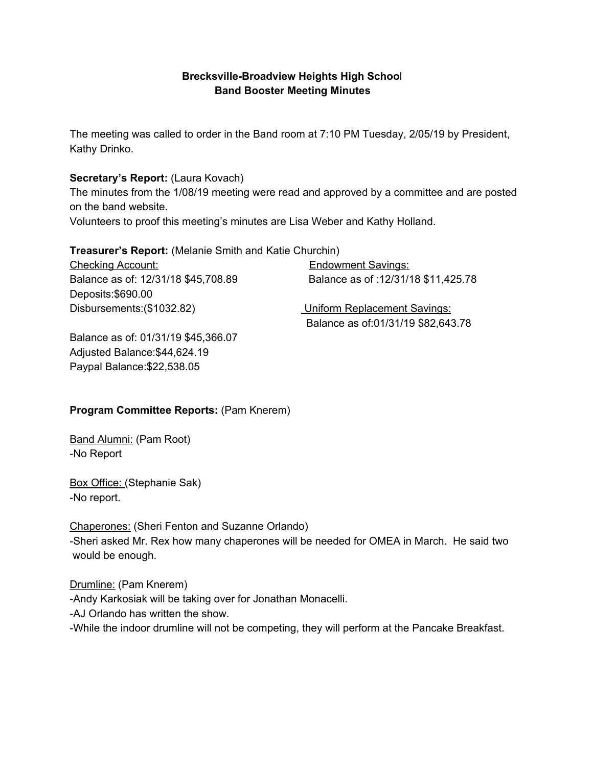## **Brecksville-Broadview Heights High Schoo**l **Band Booster Meeting Minutes**

The meeting was called to order in the Band room at 7:10 PM Tuesday, 2/05/19 by President, Kathy Drinko.

### **Secretary's Report:** (Laura Kovach)

The minutes from the 1/08/19 meeting were read and approved by a committee and are posted on the band website.

Volunteers to proof this meeting's minutes are Lisa Weber and Kathy Holland.

#### **Treasurer's Report:** (Melanie Smith and Katie Churchin)

Checking Account: Endowment Savings: Balance as of: 12/31/18 \$45,708.89 Balance as of :12/31/18 \$11,425.78 Deposits:\$690.00 Disbursements:(\$1032.82) Uniform Replacement Savings:

Balance as of:01/31/19 \$82,643.78

Balance as of: 01/31/19 \$45,366.07 Adjusted Balance:\$44,624.19 Paypal Balance:\$22,538.05

## **Program Committee Reports:** (Pam Knerem)

Band Alumni: (Pam Root) -No Report

Box Office: (Stephanie Sak) -No report.

Chaperones: (Sheri Fenton and Suzanne Orlando) -Sheri asked Mr. Rex how many chaperones will be needed for OMEA in March. He said two would be enough.

Drumline: (Pam Knerem) -Andy Karkosiak will be taking over for Jonathan Monacelli. -AJ Orlando has written the show. -While the indoor drumline will not be competing, they will perform at the Pancake Breakfast.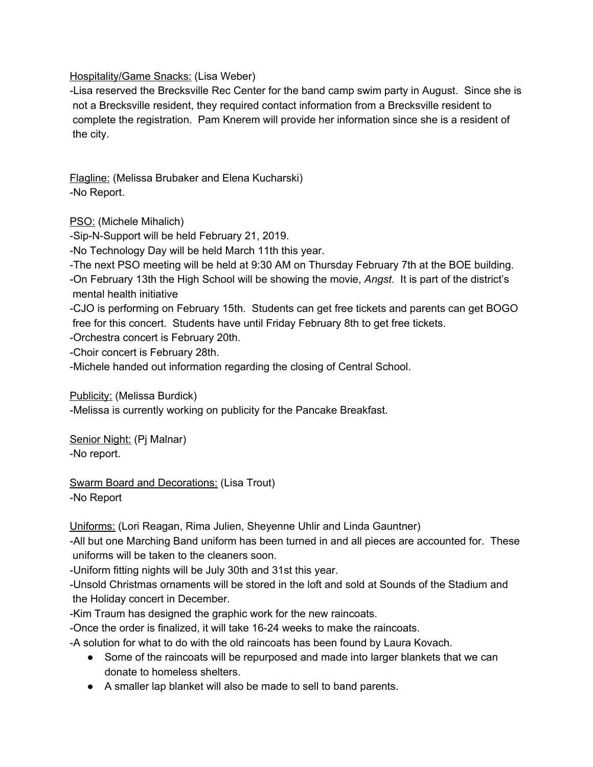Hospitality/Game Snacks: (Lisa Weber)

-Lisa reserved the Brecksville Rec Center for the band camp swim party in August. Since she is not a Brecksville resident, they required contact information from a Brecksville resident to complete the registration. Pam Knerem will provide her information since she is a resident of the city.

Flagline: (Melissa Brubaker and Elena Kucharski) -No Report.

PSO: (Michele Mihalich)

-Sip-N-Support will be held February 21, 2019.

-No Technology Day will be held March 11th this year.

-The next PSO meeting will be held at 9:30 AM on Thursday February 7th at the BOE building.

-On February 13th the High School will be showing the movie, *Angst*. It is part of the district's mental health initiative

-CJO is performing on February 15th. Students can get free tickets and parents can get BOGO free for this concert. Students have until Friday February 8th to get free tickets.

-Orchestra concert is February 20th.

-Choir concert is February 28th.

-Michele handed out information regarding the closing of Central School.

Publicity: (Melissa Burdick)

-Melissa is currently working on publicity for the Pancake Breakfast.

Senior Night: (Pj Malnar) -No report.

Swarm Board and Decorations: (Lisa Trout) -No Report

Uniforms: (Lori Reagan, Rima Julien, Sheyenne Uhlir and Linda Gauntner)

-All but one Marching Band uniform has been turned in and all pieces are accounted for. These uniforms will be taken to the cleaners soon.

-Uniform fitting nights will be July 30th and 31st this year.

-Unsold Christmas ornaments will be stored in the loft and sold at Sounds of the Stadium and the Holiday concert in December.

-Kim Traum has designed the graphic work for the new raincoats.

-Once the order is finalized, it will take 16-24 weeks to make the raincoats.

-A solution for what to do with the old raincoats has been found by Laura Kovach.

- Some of the raincoats will be repurposed and made into larger blankets that we can donate to homeless shelters.
- A smaller lap blanket will also be made to sell to band parents.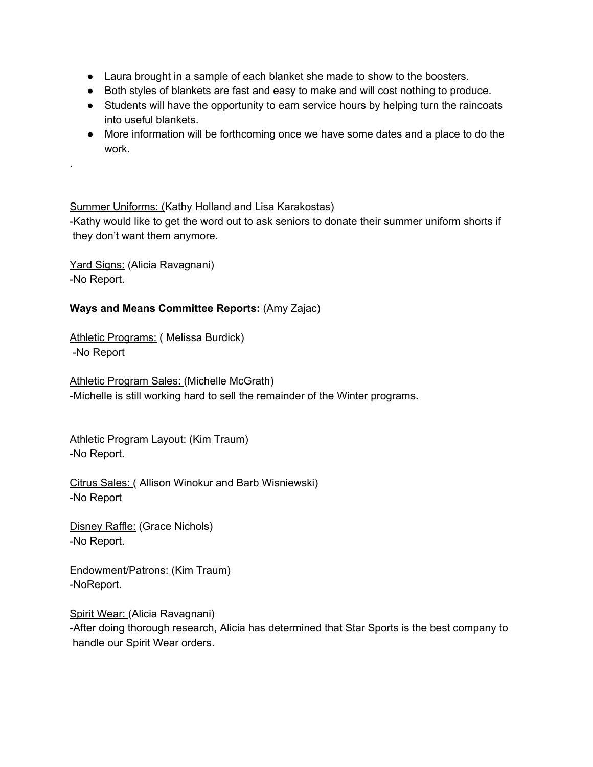- Laura brought in a sample of each blanket she made to show to the boosters.
- Both styles of blankets are fast and easy to make and will cost nothing to produce.
- Students will have the opportunity to earn service hours by helping turn the raincoats into useful blankets.
- More information will be forthcoming once we have some dates and a place to do the work.

#### Summer Uniforms: (Kathy Holland and Lisa Karakostas)

-Kathy would like to get the word out to ask seniors to donate their summer uniform shorts if they don't want them anymore.

Yard Signs: (Alicia Ravagnani) -No Report.

.

#### **Ways and Means Committee Reports:** (Amy Zajac)

Athletic Programs: (Melissa Burdick) -No Report

Athletic Program Sales: (Michelle McGrath) -Michelle is still working hard to sell the remainder of the Winter programs.

Athletic Program Layout: (Kim Traum) -No Report.

Citrus Sales: ( Allison Winokur and Barb Wisniewski) -No Report

Disney Raffle: (Grace Nichols) -No Report.

Endowment/Patrons: (Kim Traum) -NoReport.

Spirit Wear: (Alicia Ravagnani) -After doing thorough research, Alicia has determined that Star Sports is the best company to handle our Spirit Wear orders.